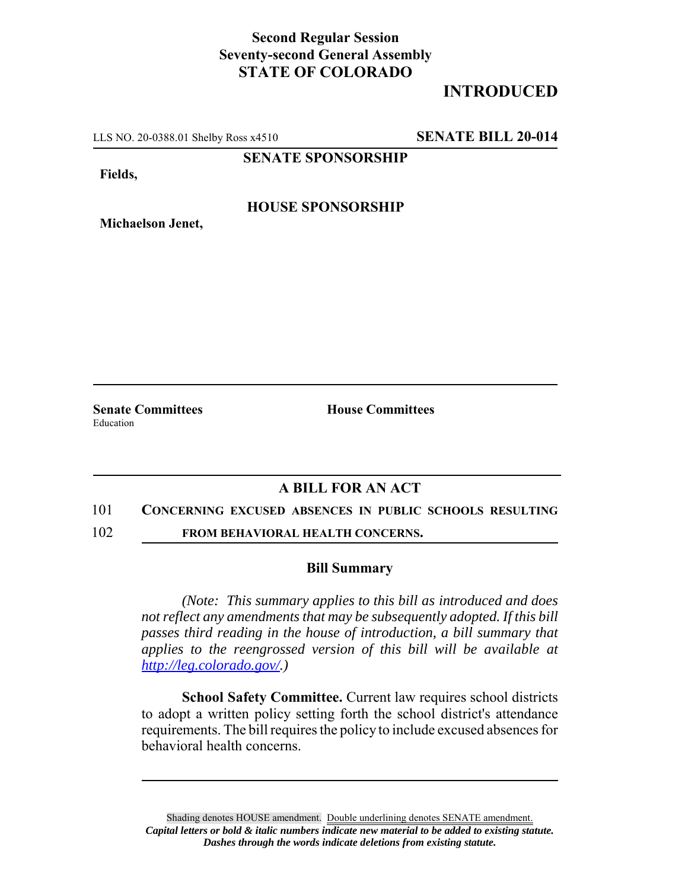## **Second Regular Session Seventy-second General Assembly STATE OF COLORADO**

# **INTRODUCED**

LLS NO. 20-0388.01 Shelby Ross x4510 **SENATE BILL 20-014**

**SENATE SPONSORSHIP**

**Fields,**

### **HOUSE SPONSORSHIP**

Education

**Michaelson Jenet,**

**Senate Committees House Committees** 

### **A BILL FOR AN ACT**

#### 101 **CONCERNING EXCUSED ABSENCES IN PUBLIC SCHOOLS RESULTING**

102 **FROM BEHAVIORAL HEALTH CONCERNS.**

#### **Bill Summary**

*(Note: This summary applies to this bill as introduced and does not reflect any amendments that may be subsequently adopted. If this bill passes third reading in the house of introduction, a bill summary that applies to the reengrossed version of this bill will be available at http://leg.colorado.gov/.)*

**School Safety Committee.** Current law requires school districts to adopt a written policy setting forth the school district's attendance requirements. The bill requires the policy to include excused absences for behavioral health concerns.

Shading denotes HOUSE amendment. Double underlining denotes SENATE amendment. *Capital letters or bold & italic numbers indicate new material to be added to existing statute. Dashes through the words indicate deletions from existing statute.*